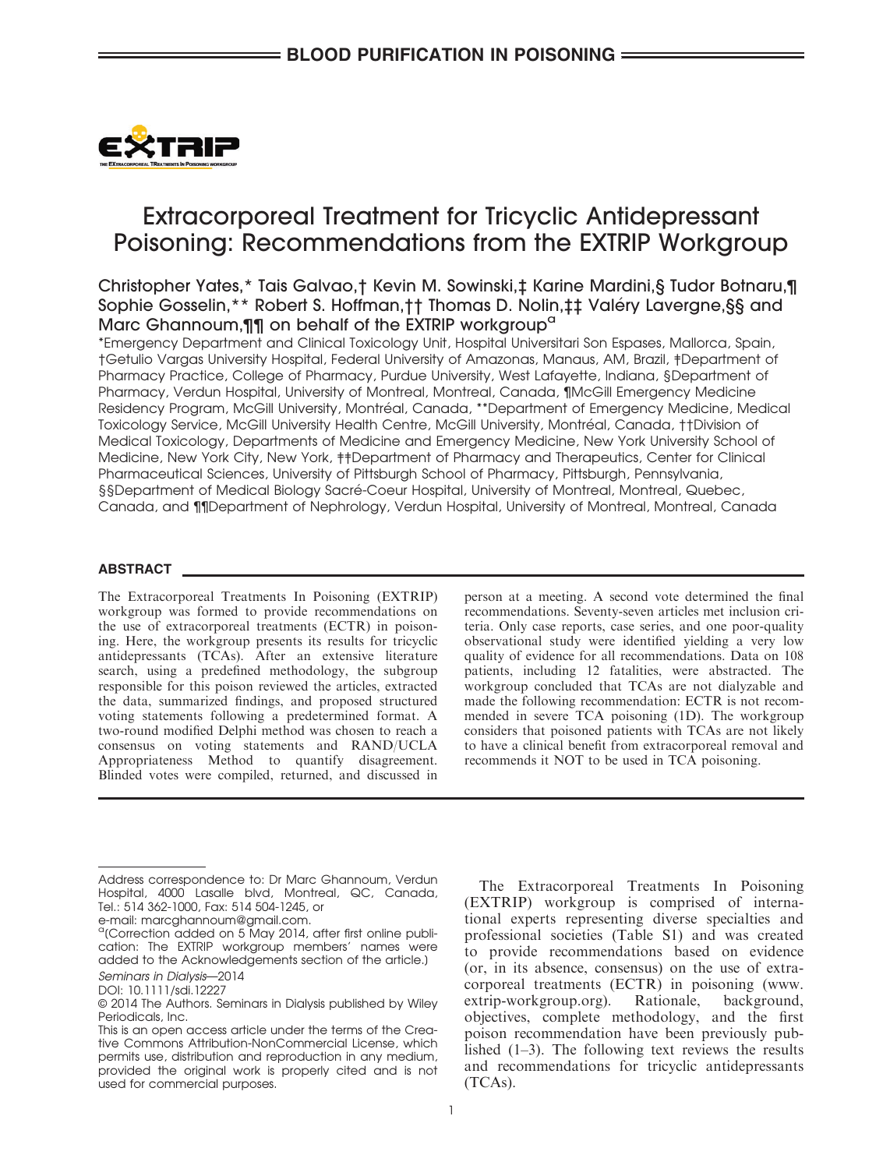

# Extracorporeal Treatment for Tricyclic Antidepressant Poisoning: Recommendations from the EXTRIP Workgroup

# Christopher Yates,\* Tais Galvao,† Kevin M. Sowinski,‡ Karine Mardini,§ Tudor Botnaru,¶ Sophie Gosselin,\*\* Robert S. Hoffman,†† Thomas D. Nolin,‡‡ Valery Lavergne,§§ and Marc Ghannoum, 11 on behalf of the EXTRIP workgroup<sup>a</sup>

\*Emergency Department and Clinical Toxicology Unit, Hospital Universitari Son Espases, Mallorca, Spain, †Getulio Vargas University Hospital, Federal University of Amazonas, Manaus, AM, Brazil, ‡Department of Pharmacy Practice, College of Pharmacy, Purdue University, West Lafayette, Indiana, §Department of Pharmacy, Verdun Hospital, University of Montreal, Montreal, Canada, ¶McGill Emergency Medicine Residency Program, McGill University, Montréal, Canada, \*\*Department of Emergency Medicine, Medical Toxicology Service, McGill University Health Centre, McGill University, Montreal, Canada, ††Division of Medical Toxicology, Departments of Medicine and Emergency Medicine, New York University School of Medicine, New York City, New York, ‡‡Department of Pharmacy and Therapeutics, Center for Clinical Pharmaceutical Sciences, University of Pittsburgh School of Pharmacy, Pittsburgh, Pennsylvania, §§Department of Medical Biology Sacré-Coeur Hospital, University of Montreal, Montreal, Quebec, Canada, and ¶¶Department of Nephrology, Verdun Hospital, University of Montreal, Montreal, Canada

# ABSTRACT

The Extracorporeal Treatments In Poisoning (EXTRIP) workgroup was formed to provide recommendations on the use of extracorporeal treatments (ECTR) in poisoning. Here, the workgroup presents its results for tricyclic antidepressants (TCAs). After an extensive literature search, using a predefined methodology, the subgroup responsible for this poison reviewed the articles, extracted the data, summarized findings, and proposed structured voting statements following a predetermined format. A two-round modified Delphi method was chosen to reach a consensus on voting statements and RAND/UCLA Appropriateness Method to quantify disagreement. Blinded votes were compiled, returned, and discussed in person at a meeting. A second vote determined the final recommendations. Seventy-seven articles met inclusion criteria. Only case reports, case series, and one poor-quality observational study were identified yielding a very low quality of evidence for all recommendations. Data on 108 patients, including 12 fatalities, were abstracted. The workgroup concluded that TCAs are not dialyzable and made the following recommendation: ECTR is not recommended in severe TCA poisoning (1D). The workgroup considers that poisoned patients with TCAs are not likely to have a clinical benefit from extracorporeal removal and recommends it NOT to be used in TCA poisoning.

The Extracorporeal Treatments In Poisoning (EXTRIP) workgroup is comprised of international experts representing diverse specialties and professional societies (Table S1) and was created to provide recommendations based on evidence (or, in its absence, consensus) on the use of extracorporeal treatments (ECTR) in poisoning (www. extrip-workgroup.org). Rationale, background, objectives, complete methodology, and the first poison recommendation have been previously published  $(1-3)$ . The following text reviews the results and recommendations for tricyclic antidepressants (TCAs).

Address correspondence to: Dr Marc Ghannoum, Verdun Hospital, 4000 Lasalle blvd, Montreal, QC, Canada, Tel.: 514 362-1000, Fax: 514 504-1245, or

e-mail: marcghannoum@gmail.com.

 $\alpha$ <sup>a</sup>(Correction added on 5 May 2014, after first online publication: The EXTRIP workgroup members' names were added to the Acknowledgements section of the article.] Seminars in Dialysis—2014

DOI: 10.1111/sdi.12227

<sup>©</sup> 2014 The Authors. Seminars in Dialysis published by Wiley Periodicals, Inc.

This is an open access article under the terms of the Creative Commons Attribution-NonCommercial License, which permits use, distribution and reproduction in any medium, provided the original work is properly cited and is not used for commercial purposes.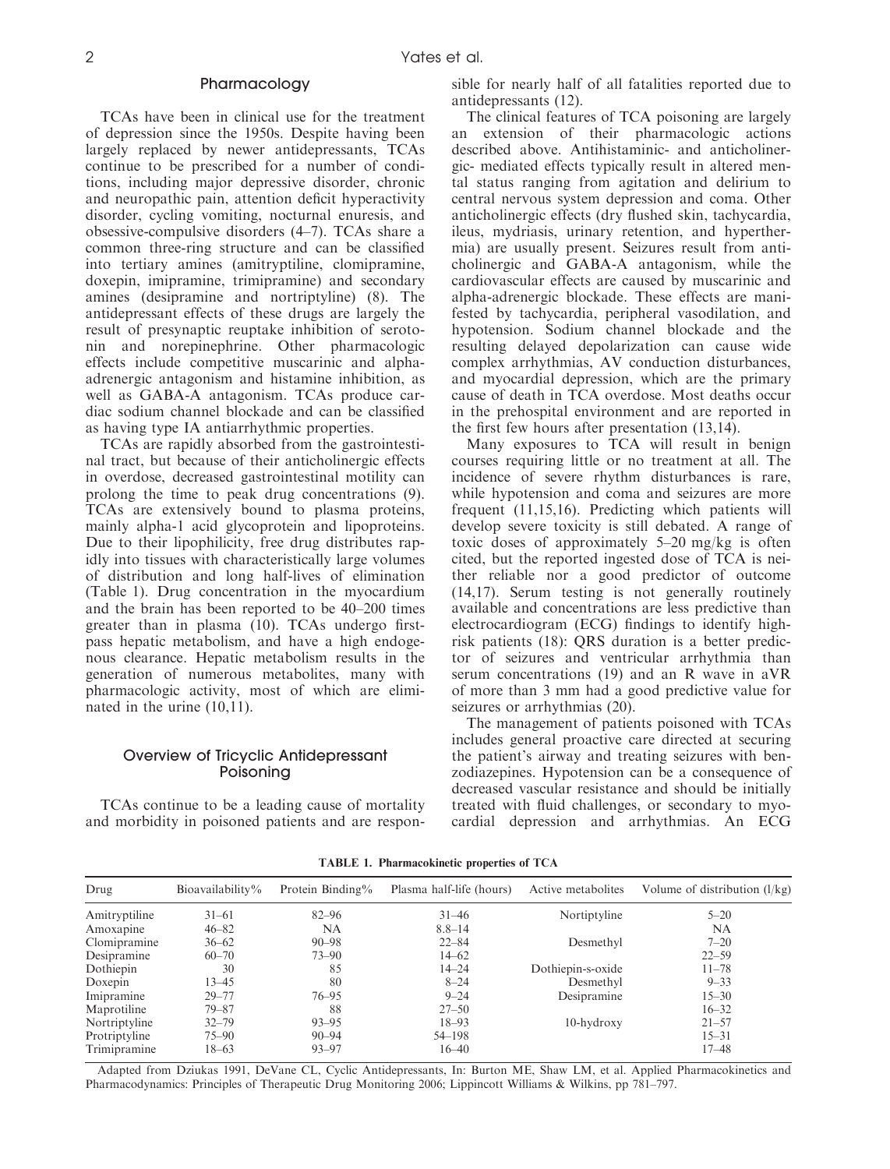### Pharmacology

TCAs have been in clinical use for the treatment of depression since the 1950s. Despite having been largely replaced by newer antidepressants, TCAs continue to be prescribed for a number of conditions, including major depressive disorder, chronic and neuropathic pain, attention deficit hyperactivity disorder, cycling vomiting, nocturnal enuresis, and obsessive-compulsive disorders (4–7). TCAs share a common three-ring structure and can be classified into tertiary amines (amitryptiline, clomipramine, doxepin, imipramine, trimipramine) and secondary amines (desipramine and nortriptyline) (8). The antidepressant effects of these drugs are largely the result of presynaptic reuptake inhibition of serotonin and norepinephrine. Other pharmacologic effects include competitive muscarinic and alphaadrenergic antagonism and histamine inhibition, as well as GABA-A antagonism. TCAs produce cardiac sodium channel blockade and can be classified as having type IA antiarrhythmic properties.

TCAs are rapidly absorbed from the gastrointestinal tract, but because of their anticholinergic effects in overdose, decreased gastrointestinal motility can prolong the time to peak drug concentrations (9). TCAs are extensively bound to plasma proteins, mainly alpha-1 acid glycoprotein and lipoproteins. Due to their lipophilicity, free drug distributes rapidly into tissues with characteristically large volumes of distribution and long half-lives of elimination (Table 1). Drug concentration in the myocardium and the brain has been reported to be 40–200 times greater than in plasma (10). TCAs undergo firstpass hepatic metabolism, and have a high endogenous clearance. Hepatic metabolism results in the generation of numerous metabolites, many with pharmacologic activity, most of which are eliminated in the urine (10,11).

# Overview of Tricyclic Antidepressant Poisoning

TCAs continue to be a leading cause of mortality and morbidity in poisoned patients and are responsible for nearly half of all fatalities reported due to antidepressants (12).

The clinical features of TCA poisoning are largely an extension of their pharmacologic actions described above. Antihistaminic- and anticholinergic- mediated effects typically result in altered mental status ranging from agitation and delirium to central nervous system depression and coma. Other anticholinergic effects (dry flushed skin, tachycardia, ileus, mydriasis, urinary retention, and hyperthermia) are usually present. Seizures result from anticholinergic and GABA-A antagonism, while the cardiovascular effects are caused by muscarinic and alpha-adrenergic blockade. These effects are manifested by tachycardia, peripheral vasodilation, and hypotension. Sodium channel blockade and the resulting delayed depolarization can cause wide complex arrhythmias, AV conduction disturbances, and myocardial depression, which are the primary cause of death in TCA overdose. Most deaths occur in the prehospital environment and are reported in the first few hours after presentation (13,14).

Many exposures to TCA will result in benign courses requiring little or no treatment at all. The incidence of severe rhythm disturbances is rare, while hypotension and coma and seizures are more frequent (11,15,16). Predicting which patients will develop severe toxicity is still debated. A range of toxic doses of approximately 5–20 mg/kg is often cited, but the reported ingested dose of TCA is neither reliable nor a good predictor of outcome (14,17). Serum testing is not generally routinely available and concentrations are less predictive than electrocardiogram (ECG) findings to identify highrisk patients (18): QRS duration is a better predictor of seizures and ventricular arrhythmia than serum concentrations (19) and an R wave in aVR of more than 3 mm had a good predictive value for seizures or arrhythmias (20).

The management of patients poisoned with TCAs includes general proactive care directed at securing the patient's airway and treating seizures with benzodiazepines. Hypotension can be a consequence of decreased vascular resistance and should be initially treated with fluid challenges, or secondary to myocardial depression and arrhythmias. An ECG

| Drug          | Bioavailability% | Protein Binding% | Plasma half-life (hours) | Active metabolites | Volume of distribution $(l/kg)$ |
|---------------|------------------|------------------|--------------------------|--------------------|---------------------------------|
| Amitryptiline | $31 - 61$        | $82 - 96$        | $31 - 46$                | Nortiptyline       | $5 - 20$                        |
| Amoxapine     | $46 - 82$        | NA               | $8.8 - 14$               |                    | NA                              |
| Clomipramine  | $36 - 62$        | $90 - 98$        | $22 - 84$                | Desmethyl          | $7 - 20$                        |
| Desipramine   | $60 - 70$        | $73 - 90$        | $14 - 62$                |                    | $22 - 59$                       |
| Dothiepin     | 30               | 85               | $14 - 24$                | Dothiepin-s-oxide  | $11 - 78$                       |
| Doxepin       | $13 - 45$        | 80               | $8 - 24$                 | Desmethyl          | $9 - 33$                        |
| Imipramine    | $29 - 77$        | $76 - 95$        | $9 - 24$                 | Desipramine        | $15 - 30$                       |
| Maprotiline   | $79 - 87$        | 88               | $27 - 50$                |                    | $16 - 32$                       |
| Nortriptyline | $32 - 79$        | $93 - 95$        | $18 - 93$                | $10$ -hydroxy      | $21 - 57$                       |
| Protriptyline | $75 - 90$        | $90 - 94$        | 54–198                   |                    | $15 - 31$                       |
| Trimipramine  | $18 - 63$        | $93 - 97$        | $16 - 40$                |                    | $17 - 48$                       |

TABLE 1. Pharmacokinetic properties of TCA

Adapted from Dziukas 1991, DeVane CL, Cyclic Antidepressants, In: Burton ME, Shaw LM, et al. Applied Pharmacokinetics and Pharmacodynamics: Principles of Therapeutic Drug Monitoring 2006; Lippincott Williams & Wilkins, pp 781–797.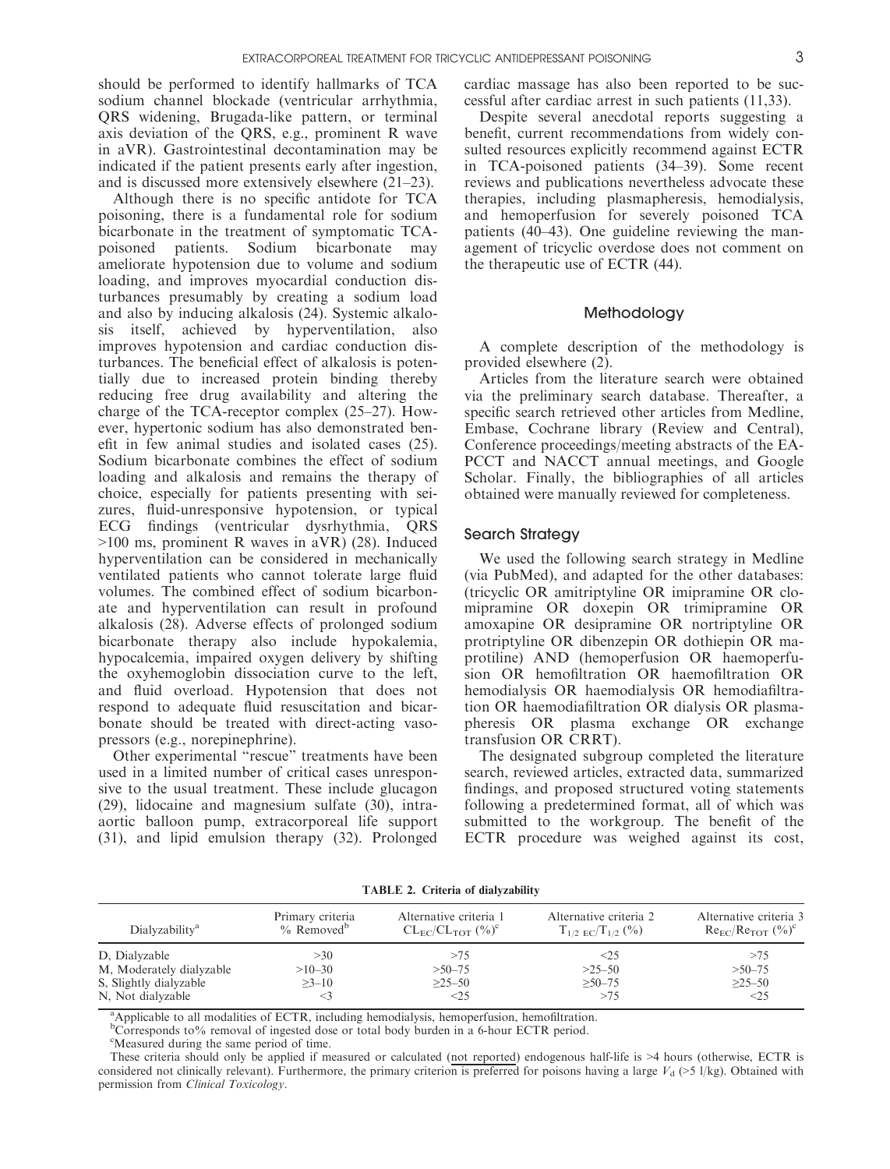should be performed to identify hallmarks of TCA sodium channel blockade (ventricular arrhythmia, QRS widening, Brugada-like pattern, or terminal axis deviation of the QRS, e.g., prominent R wave in aVR). Gastrointestinal decontamination may be indicated if the patient presents early after ingestion, and is discussed more extensively elsewhere (21–23).

Although there is no specific antidote for TCA poisoning, there is a fundamental role for sodium bicarbonate in the treatment of symptomatic TCApoisoned patients. Sodium bicarbonate may ameliorate hypotension due to volume and sodium loading, and improves myocardial conduction disturbances presumably by creating a sodium load and also by inducing alkalosis (24). Systemic alkalosis itself, achieved by hyperventilation, also improves hypotension and cardiac conduction disturbances. The beneficial effect of alkalosis is potentially due to increased protein binding thereby reducing free drug availability and altering the charge of the TCA-receptor complex (25–27). However, hypertonic sodium has also demonstrated benefit in few animal studies and isolated cases (25). Sodium bicarbonate combines the effect of sodium loading and alkalosis and remains the therapy of choice, especially for patients presenting with seizures, fluid-unresponsive hypotension, or typical ECG findings (ventricular dysrhythmia, QRS >100 ms, prominent R waves in aVR) (28). Induced hyperventilation can be considered in mechanically ventilated patients who cannot tolerate large fluid volumes. The combined effect of sodium bicarbonate and hyperventilation can result in profound alkalosis (28). Adverse effects of prolonged sodium bicarbonate therapy also include hypokalemia, hypocalcemia, impaired oxygen delivery by shifting the oxyhemoglobin dissociation curve to the left, and fluid overload. Hypotension that does not respond to adequate fluid resuscitation and bicarbonate should be treated with direct-acting vasopressors (e.g., norepinephrine).

Other experimental "rescue" treatments have been used in a limited number of critical cases unresponsive to the usual treatment. These include glucagon (29), lidocaine and magnesium sulfate (30), intraaortic balloon pump, extracorporeal life support (31), and lipid emulsion therapy (32). Prolonged cardiac massage has also been reported to be successful after cardiac arrest in such patients (11,33).

Despite several anecdotal reports suggesting a benefit, current recommendations from widely consulted resources explicitly recommend against ECTR in TCA-poisoned patients (34–39). Some recent reviews and publications nevertheless advocate these therapies, including plasmapheresis, hemodialysis, and hemoperfusion for severely poisoned TCA patients (40–43). One guideline reviewing the management of tricyclic overdose does not comment on the therapeutic use of ECTR (44).

# Methodology

A complete description of the methodology is provided elsewhere (2).

Articles from the literature search were obtained via the preliminary search database. Thereafter, a specific search retrieved other articles from Medline, Embase, Cochrane library (Review and Central), Conference proceedings/meeting abstracts of the EA-PCCT and NACCT annual meetings, and Google Scholar. Finally, the bibliographies of all articles obtained were manually reviewed for completeness.

#### Search Strategy

We used the following search strategy in Medline (via PubMed), and adapted for the other databases: (tricyclic OR amitriptyline OR imipramine OR clomipramine OR doxepin OR trimipramine OR amoxapine OR desipramine OR nortriptyline OR protriptyline OR dibenzepin OR dothiepin OR maprotiline) AND (hemoperfusion OR haemoperfusion OR hemofiltration OR haemofiltration OR hemodialysis OR haemodialysis OR hemodiafiltration OR haemodiafiltration OR dialysis OR plasmapheresis OR plasma exchange OR exchange transfusion OR CRRT).

The designated subgroup completed the literature search, reviewed articles, extracted data, summarized findings, and proposed structured voting statements following a predetermined format, all of which was submitted to the workgroup. The benefit of the ECTR procedure was weighed against its cost,

TABLE 2. Criteria of dialyzability

| Dialyzability <sup>a</sup> | Primary criteria<br>$\%$ Removed <sup>b</sup> | Alternative criteria 1<br>$CL_{FC}/CL_{TOT}$ $(^{0}_{0})^{\circ}$ | Alternative criteria 2<br>$T_{1/2~EC}/T_{1/2}$ (%) | Alternative criteria 3<br>$Re_{FC}/Re_{TOT}$ $(\%)^c$ |
|----------------------------|-----------------------------------------------|-------------------------------------------------------------------|----------------------------------------------------|-------------------------------------------------------|
| D, Dialyzable              | >30                                           | >75                                                               | $\leq$ 25                                          | >75                                                   |
| M, Moderately dialyzable   | $>10-30$                                      | $>50-75$                                                          | $>25-50$                                           | $>50-75$                                              |
| S, Slightly dialyzable     | $>3-10$                                       | $>25-50$                                                          | $>50-75$                                           | $>25-50$                                              |
| N, Not dialyzable          |                                               | <25                                                               | >75                                                | $\leq$ 25                                             |

<sup>a</sup>Applicable to all modalities of ECTR, including hemodialysis, hemoperfusion, hemofiltration.

<sup>b</sup>Corresponds to% removal of ingested dose or total body burden in a 6-hour ECTR period.

<sup>c</sup>Measured during the same period of time.

These criteria should only be applied if measured or calculated (not reported) endogenous half-life is >4 hours (otherwise, ECTR is considered not clinically relevant). Furthermore, the primary criterion is preferred for poisons having a large  $V_d$  (>5 l/kg). Obtained with permission from Clinical Toxicology.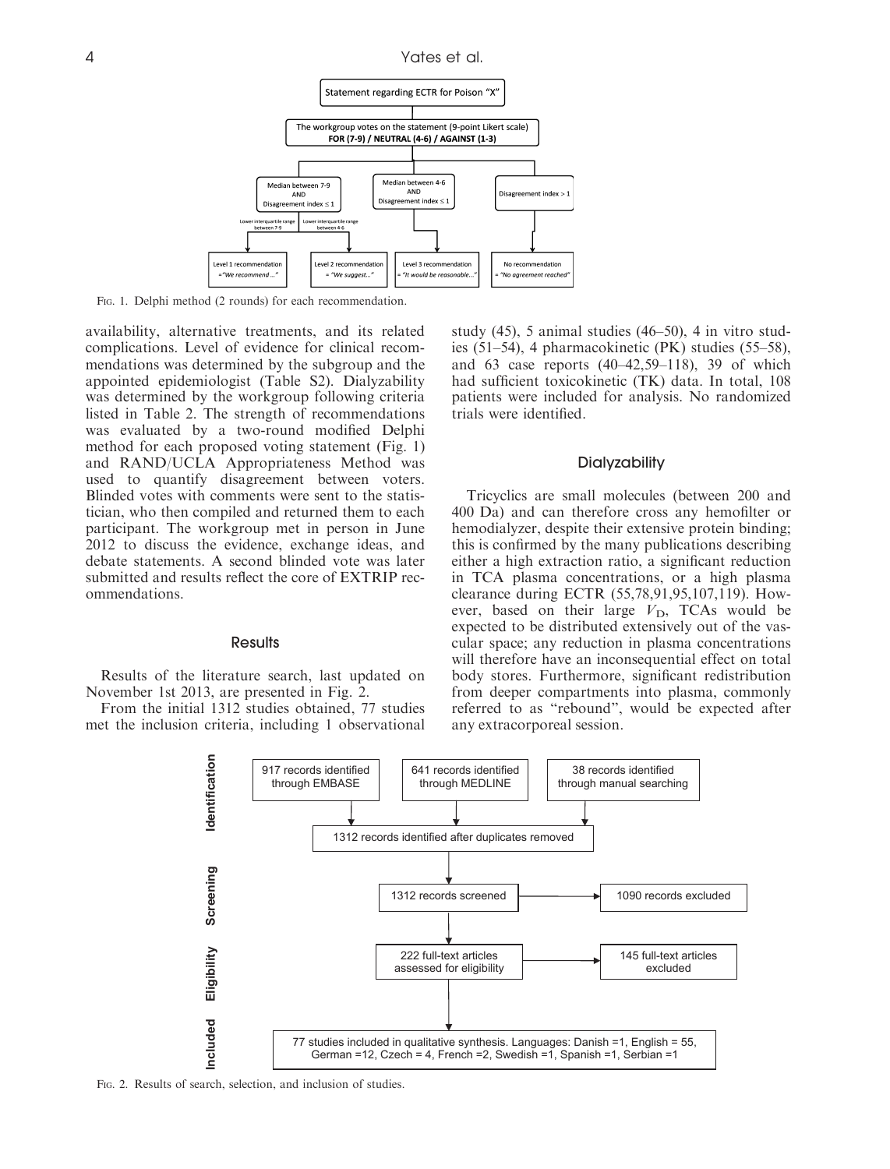

Fig. 1. Delphi method (2 rounds) for each recommendation.

availability, alternative treatments, and its related complications. Level of evidence for clinical recommendations was determined by the subgroup and the appointed epidemiologist (Table S2). Dialyzability was determined by the workgroup following criteria listed in Table 2. The strength of recommendations was evaluated by a two-round modified Delphi method for each proposed voting statement (Fig. 1) and RAND/UCLA Appropriateness Method was used to quantify disagreement between voters. Blinded votes with comments were sent to the statistician, who then compiled and returned them to each participant. The workgroup met in person in June 2012 to discuss the evidence, exchange ideas, and debate statements. A second blinded vote was later submitted and results reflect the core of EXTRIP recommendations.

# **Results**

Results of the literature search, last updated on November 1st 2013, are presented in Fig. 2.

From the initial 1312 studies obtained, 77 studies met the inclusion criteria, including 1 observational study (45), 5 animal studies (46–50), 4 in vitro studies (51–54), 4 pharmacokinetic (PK) studies (55–58), and 63 case reports (40–42,59–118), 39 of which had sufficient toxicokinetic (TK) data. In total, 108 patients were included for analysis. No randomized trials were identified.

#### **Dialyzability**

Tricyclics are small molecules (between 200 and 400 Da) and can therefore cross any hemofilter or hemodialyzer, despite their extensive protein binding; this is confirmed by the many publications describing either a high extraction ratio, a significant reduction in TCA plasma concentrations, or a high plasma clearance during ECTR (55,78,91,95,107,119). However, based on their large  $V_D$ , TCAs would be expected to be distributed extensively out of the vascular space; any reduction in plasma concentrations will therefore have an inconsequential effect on total body stores. Furthermore, significant redistribution from deeper compartments into plasma, commonly referred to as "rebound", would be expected after any extracorporeal session.



Fig. 2. Results of search, selection, and inclusion of studies.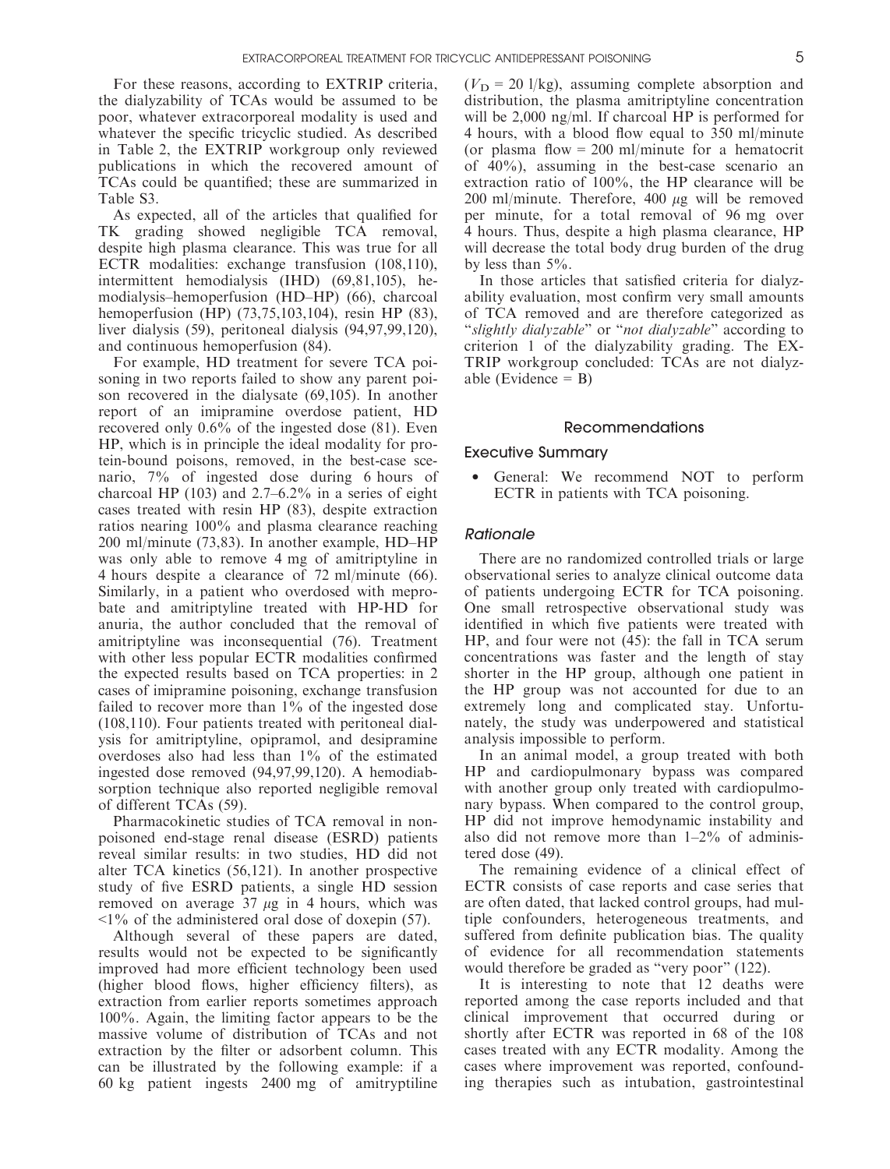For these reasons, according to EXTRIP criteria, the dialyzability of TCAs would be assumed to be poor, whatever extracorporeal modality is used and whatever the specific tricyclic studied. As described in Table 2, the EXTRIP workgroup only reviewed publications in which the recovered amount of TCAs could be quantified; these are summarized in Table S3.

As expected, all of the articles that qualified for TK grading showed negligible TCA removal, despite high plasma clearance. This was true for all ECTR modalities: exchange transfusion (108,110), intermittent hemodialysis (IHD) (69,81,105), hemodialysis–hemoperfusion (HD–HP) (66), charcoal hemoperfusion (HP) (73,75,103,104), resin HP (83), liver dialysis (59), peritoneal dialysis (94,97,99,120), and continuous hemoperfusion (84).

For example, HD treatment for severe TCA poisoning in two reports failed to show any parent poison recovered in the dialysate (69,105). In another report of an imipramine overdose patient, HD recovered only 0.6% of the ingested dose (81). Even HP, which is in principle the ideal modality for protein-bound poisons, removed, in the best-case scenario, 7% of ingested dose during 6 hours of charcoal HP (103) and 2.7–6.2% in a series of eight cases treated with resin HP (83), despite extraction ratios nearing 100% and plasma clearance reaching 200 ml/minute (73,83). In another example, HD–HP was only able to remove 4 mg of amitriptyline in 4 hours despite a clearance of 72 ml/minute (66). Similarly, in a patient who overdosed with meprobate and amitriptyline treated with HP-HD for anuria, the author concluded that the removal of amitriptyline was inconsequential (76). Treatment with other less popular ECTR modalities confirmed the expected results based on TCA properties: in 2 cases of imipramine poisoning, exchange transfusion failed to recover more than 1% of the ingested dose (108,110). Four patients treated with peritoneal dialysis for amitriptyline, opipramol, and desipramine overdoses also had less than 1% of the estimated ingested dose removed (94,97,99,120). A hemodiabsorption technique also reported negligible removal of different TCAs (59).

Pharmacokinetic studies of TCA removal in nonpoisoned end-stage renal disease (ESRD) patients reveal similar results: in two studies, HD did not alter TCA kinetics (56,121). In another prospective study of five ESRD patients, a single HD session removed on average  $37 \mu g$  in 4 hours, which was  $\leq$ 1% of the administered oral dose of doxepin (57).

Although several of these papers are dated, results would not be expected to be significantly improved had more efficient technology been used (higher blood flows, higher efficiency filters), as extraction from earlier reports sometimes approach 100%. Again, the limiting factor appears to be the massive volume of distribution of TCAs and not extraction by the filter or adsorbent column. This can be illustrated by the following example: if a 60 kg patient ingests 2400 mg of amitryptiline

 $(V<sub>D</sub> = 20$  l/kg), assuming complete absorption and distribution, the plasma amitriptyline concentration will be 2,000 ng/ml. If charcoal HP is performed for 4 hours, with a blood flow equal to 350 ml/minute (or plasma flow  $= 200$  ml/minute for a hematocrit of 40%), assuming in the best-case scenario an extraction ratio of 100%, the HP clearance will be 200 ml/minute. Therefore, 400  $\mu$ g will be removed per minute, for a total removal of 96 mg over 4 hours. Thus, despite a high plasma clearance, HP will decrease the total body drug burden of the drug by less than 5%.

In those articles that satisfied criteria for dialyzability evaluation, most confirm very small amounts of TCA removed and are therefore categorized as "slightly dialyzable" or "not dialyzable" according to criterion 1 of the dialyzability grading. The EX-TRIP workgroup concluded: TCAs are not dialyzable (Evidence  $=$  B)

#### Recommendations

#### Executive Summary

• General: We recommend NOT to perform ECTR in patients with TCA poisoning.

#### Rationale

There are no randomized controlled trials or large observational series to analyze clinical outcome data of patients undergoing ECTR for TCA poisoning. One small retrospective observational study was identified in which five patients were treated with HP, and four were not (45): the fall in TCA serum concentrations was faster and the length of stay shorter in the HP group, although one patient in the HP group was not accounted for due to an extremely long and complicated stay. Unfortunately, the study was underpowered and statistical analysis impossible to perform.

In an animal model, a group treated with both HP and cardiopulmonary bypass was compared with another group only treated with cardiopulmonary bypass. When compared to the control group, HP did not improve hemodynamic instability and also did not remove more than 1–2% of administered dose (49).

The remaining evidence of a clinical effect of ECTR consists of case reports and case series that are often dated, that lacked control groups, had multiple confounders, heterogeneous treatments, and suffered from definite publication bias. The quality of evidence for all recommendation statements would therefore be graded as "very poor" (122).

It is interesting to note that 12 deaths were reported among the case reports included and that clinical improvement that occurred during or shortly after ECTR was reported in 68 of the 108 cases treated with any ECTR modality. Among the cases where improvement was reported, confounding therapies such as intubation, gastrointestinal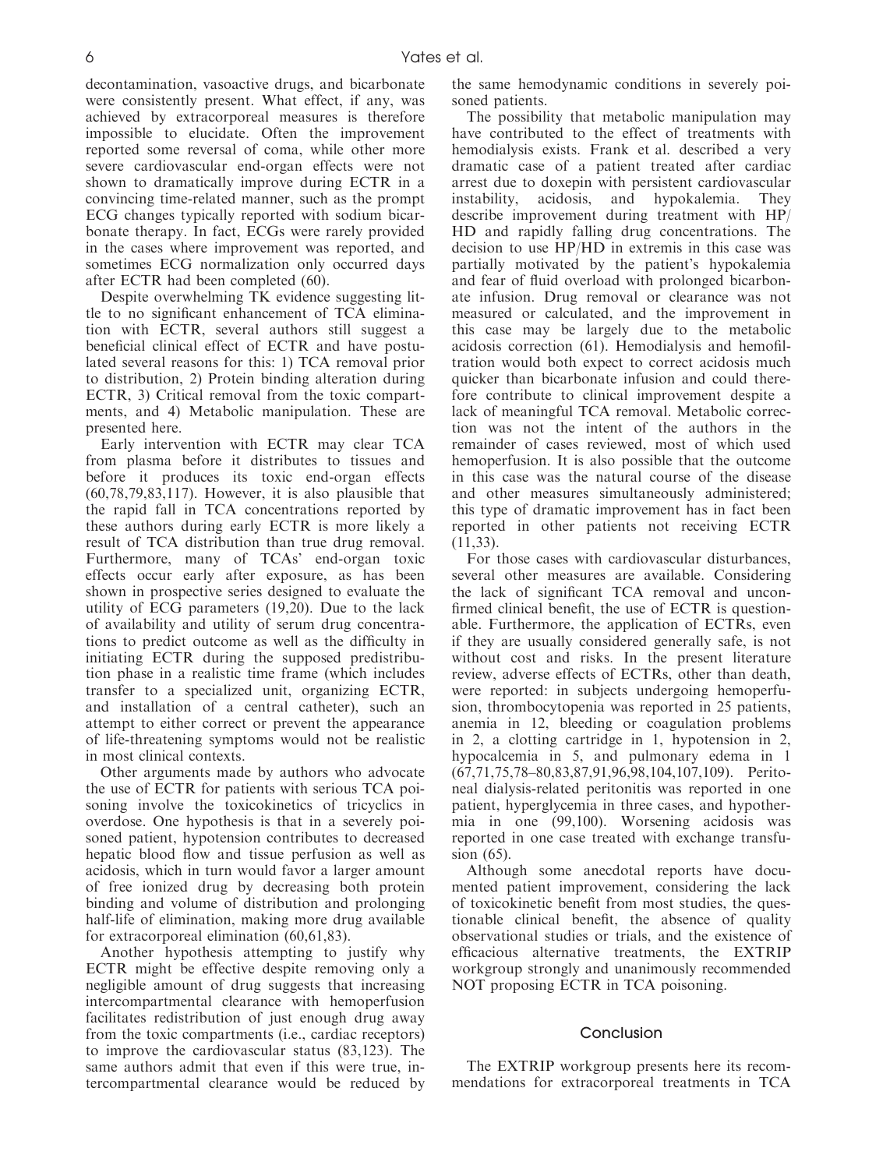decontamination, vasoactive drugs, and bicarbonate were consistently present. What effect, if any, was achieved by extracorporeal measures is therefore impossible to elucidate. Often the improvement reported some reversal of coma, while other more severe cardiovascular end-organ effects were not shown to dramatically improve during ECTR in a convincing time-related manner, such as the prompt ECG changes typically reported with sodium bicarbonate therapy. In fact, ECGs were rarely provided in the cases where improvement was reported, and sometimes ECG normalization only occurred days after ECTR had been completed (60).

Despite overwhelming TK evidence suggesting little to no significant enhancement of TCA elimination with ECTR, several authors still suggest a beneficial clinical effect of ECTR and have postulated several reasons for this: 1) TCA removal prior to distribution, 2) Protein binding alteration during ECTR, 3) Critical removal from the toxic compartments, and 4) Metabolic manipulation. These are presented here.

Early intervention with ECTR may clear TCA from plasma before it distributes to tissues and before it produces its toxic end-organ effects  $(60,78,79,83,117)$ . However, it is also plausible that the rapid fall in TCA concentrations reported by these authors during early ECTR is more likely a result of TCA distribution than true drug removal. Furthermore, many of TCAs' end-organ toxic effects occur early after exposure, as has been shown in prospective series designed to evaluate the utility of ECG parameters (19,20). Due to the lack of availability and utility of serum drug concentrations to predict outcome as well as the difficulty in initiating ECTR during the supposed predistribution phase in a realistic time frame (which includes transfer to a specialized unit, organizing ECTR, and installation of a central catheter), such an attempt to either correct or prevent the appearance of life-threatening symptoms would not be realistic in most clinical contexts.

Other arguments made by authors who advocate the use of ECTR for patients with serious TCA poisoning involve the toxicokinetics of tricyclics in overdose. One hypothesis is that in a severely poisoned patient, hypotension contributes to decreased hepatic blood flow and tissue perfusion as well as acidosis, which in turn would favor a larger amount of free ionized drug by decreasing both protein binding and volume of distribution and prolonging half-life of elimination, making more drug available for extracorporeal elimination (60,61,83).

Another hypothesis attempting to justify why ECTR might be effective despite removing only a negligible amount of drug suggests that increasing intercompartmental clearance with hemoperfusion facilitates redistribution of just enough drug away from the toxic compartments (i.e., cardiac receptors) to improve the cardiovascular status (83,123). The same authors admit that even if this were true, intercompartmental clearance would be reduced by the same hemodynamic conditions in severely poisoned patients.

The possibility that metabolic manipulation may have contributed to the effect of treatments with hemodialysis exists. Frank et al. described a very dramatic case of a patient treated after cardiac arrest due to doxepin with persistent cardiovascular instability, acidosis, and hypokalemia. They describe improvement during treatment with HP/ HD and rapidly falling drug concentrations. The decision to use HP/HD in extremis in this case was partially motivated by the patient's hypokalemia and fear of fluid overload with prolonged bicarbonate infusion. Drug removal or clearance was not measured or calculated, and the improvement in this case may be largely due to the metabolic acidosis correction (61). Hemodialysis and hemofiltration would both expect to correct acidosis much quicker than bicarbonate infusion and could therefore contribute to clinical improvement despite a lack of meaningful TCA removal. Metabolic correction was not the intent of the authors in the remainder of cases reviewed, most of which used hemoperfusion. It is also possible that the outcome in this case was the natural course of the disease and other measures simultaneously administered; this type of dramatic improvement has in fact been reported in other patients not receiving ECTR (11,33).

For those cases with cardiovascular disturbances, several other measures are available. Considering the lack of significant TCA removal and unconfirmed clinical benefit, the use of ECTR is questionable. Furthermore, the application of ECTRs, even if they are usually considered generally safe, is not without cost and risks. In the present literature review, adverse effects of ECTRs, other than death, were reported: in subjects undergoing hemoperfusion, thrombocytopenia was reported in 25 patients, anemia in 12, bleeding or coagulation problems in 2, a clotting cartridge in 1, hypotension in 2, hypocalcemia in 5, and pulmonary edema in 1 (67,71,75,78–80,83,87,91,96,98,104,107,109). Peritoneal dialysis-related peritonitis was reported in one patient, hyperglycemia in three cases, and hypothermia in one (99,100). Worsening acidosis was reported in one case treated with exchange transfusion (65).

Although some anecdotal reports have documented patient improvement, considering the lack of toxicokinetic benefit from most studies, the questionable clinical benefit, the absence of quality observational studies or trials, and the existence of efficacious alternative treatments, the EXTRIP workgroup strongly and unanimously recommended NOT proposing ECTR in TCA poisoning.

# Conclusion

The EXTRIP workgroup presents here its recommendations for extracorporeal treatments in TCA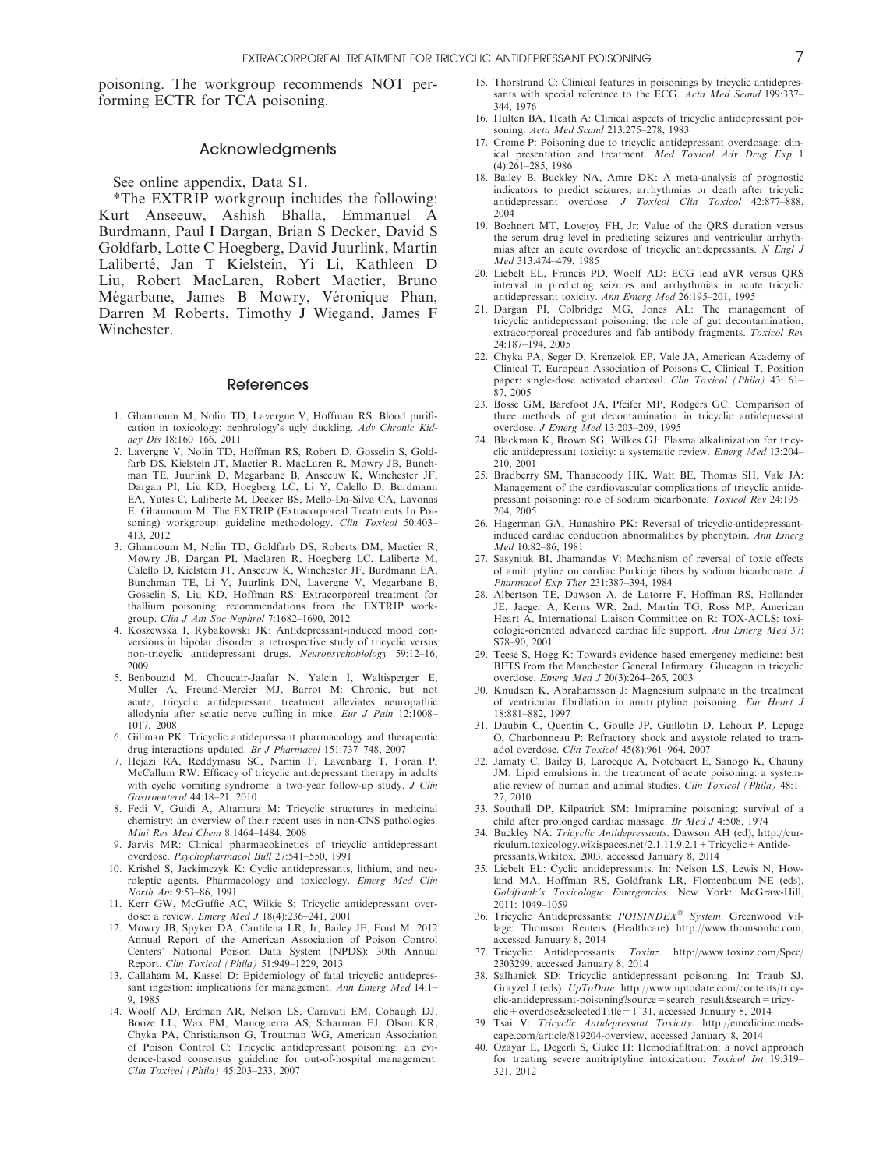poisoning. The workgroup recommends NOT performing ECTR for TCA poisoning.

# Acknowledgments

See online appendix, Data S1.

\*The EXTRIP workgroup includes the following: Kurt Anseeuw, Ashish Bhalla, Emmanuel A Burdmann, Paul I Dargan, Brian S Decker, David S Goldfarb, Lotte C Hoegberg, David Juurlink, Martin Laliberté, Jan T Kielstein, Yi Li, Kathleen D Liu, Robert MacLaren, Robert Mactier, Bruno Mégarbane, James B Mowry, Véronique Phan, Darren M Roberts, Timothy J Wiegand, James F Winchester.

#### References

- 1. Ghannoum M, Nolin TD, Lavergne V, Hoffman RS: Blood purification in toxicology: nephrology's ugly duckling. Adv Chronic Kidney Dis 18:160–166, 2011
- 2. Lavergne V, Nolin TD, Hoffman RS, Robert D, Gosselin S, Goldfarb DS, Kielstein JT, Mactier R, MacLaren R, Mowry JB, Bunchman TE, Juurlink D, Megarbane B, Anseeuw K, Winchester JF, Dargan PI, Liu KD, Hoegberg LC, Li Y, Calello D, Burdmann EA, Yates C, Laliberte M, Decker BS, Mello-Da-Silva CA, Lavonas E, Ghannoum M: The EXTRIP (Extracorporeal Treatments In Poisoning) workgroup: guideline methodology. Clin Toxicol 50:403-413, 2012
- 3. Ghannoum M, Nolin TD, Goldfarb DS, Roberts DM, Mactier R, Mowry JB, Dargan PI, Maclaren R, Hoegberg LC, Laliberte M, Calello D, Kielstein JT, Anseeuw K, Winchester JF, Burdmann EA, Bunchman TE, Li Y, Juurlink DN, Lavergne V, Megarbane B, Gosselin S, Liu KD, Hoffman RS: Extracorporeal treatment for thallium poisoning: recommendations from the EXTRIP workgroup. Clin J Am Soc Nephrol 7:1682–1690, 2012
- 4. Koszewska I, Rybakowski JK: Antidepressant-induced mood conversions in bipolar disorder: a retrospective study of tricyclic versus non-tricyclic antidepressant drugs. Neuropsychobiology 59:12–16, 2009
- 5. Benbouzid M, Choucair-Jaafar N, Yalcin I, Waltisperger E, Muller A, Freund-Mercier MJ, Barrot M: Chronic, but not acute, tricyclic antidepressant treatment alleviates neuropathic allodynia after sciatic nerve cuffing in mice. Eur J Pain 12:1008– 1017, 2008
- 6. Gillman PK: Tricyclic antidepressant pharmacology and therapeutic
- drug interactions updated. *Br J Pharmacol* 151:737-748, 2007<br>7. Hejazi RA, Reddymasu SC, Namin F, Lavenbarg T, Foran P, McCallum RW: Efficacy of tricyclic antidepressant therapy in adults with cyclic vomiting syndrome: a two-year follow-up study. J Clin Gastroenterol 44:18–21, 2010
- 8. Fedi V, Guidi A, Altamura M: Tricyclic structures in medicinal chemistry: an overview of their recent uses in non-CNS pathologies. Mini Rev Med Chem 8:1464–1484, 2008
- 9. Jarvis MR: Clinical pharmacokinetics of tricyclic antidepressant overdose. Psychopharmacol Bull 27:541–550, 1991
- 10. Krishel S, Jackimczyk K: Cyclic antidepressants, lithium, and neuroleptic agents. Pharmacology and toxicology. Emerg Med Clin North Am 9:53–86, 1991
- 11. Kerr GW, McGuffie AC, Wilkie S: Tricyclic antidepressant overdose: a review. Emerg Med J 18(4):236–241, 2001
- 12. Mowry JB, Spyker DA, Cantilena LR, Jr, Bailey JE, Ford M: 2012 Annual Report of the American Association of Poison Control Centers' National Poison Data System (NPDS): 30th Annual Report. Clin Toxicol (Phila) 51:949–1229, 2013
- 13. Callaham M, Kassel D: Epidemiology of fatal tricyclic antidepressant ingestion: implications for management. Ann Emerg Med 14:1-9, 1985
- 14. Woolf AD, Erdman AR, Nelson LS, Caravati EM, Cobaugh DJ, Booze LL, Wax PM, Manoguerra AS, Scharman EJ, Olson KR, Chyka PA, Christianson G, Troutman WG, American Association of Poison Control C: Tricyclic antidepressant poisoning: an evidence-based consensus guideline for out-of-hospital management. Clin Toxicol (Phila) 45:203–233, 2007
- 15. Thorstrand C: Clinical features in poisonings by tricyclic antidepressants with special reference to the ECG. Acta Med Scand 199:337-344, 1976
- 16. Hulten BA, Heath A: Clinical aspects of tricyclic antidepressant poisoning. Acta Med Scand 213:275–278, 1983
- 17. Crome P: Poisoning due to tricyclic antidepressant overdosage: clinical presentation and treatment. Med Toxicol Adv Drug Exp 1 (4):261–285, 1986
- 18. Bailey B, Buckley NA, Amre DK: A meta-analysis of prognostic indicators to predict seizures, arrhythmias or death after tricyclic antidepressant overdose. J Toxicol Clin Toxicol 42:877–888, 2004
- 19. Boehnert MT, Lovejoy FH, Jr: Value of the QRS duration versus the serum drug level in predicting seizures and ventricular arrhythmias after an acute overdose of tricyclic antidepressants. N Engl J Med 313:474–479, 1985
- 20. Liebelt EL, Francis PD, Woolf AD: ECG lead aVR versus QRS interval in predicting seizures and arrhythmias in acute tricyclic antidepressant toxicity. Ann Emerg Med 26:195–201, 1995
- 21. Dargan PI, Colbridge MG, Jones AL: The management of tricyclic antidepressant poisoning: the role of gut decontamination, extracorporeal procedures and fab antibody fragments. Toxicol Rev 24:187–194, 2005
- 22. Chyka PA, Seger D, Krenzelok EP, Vale JA, American Academy of Clinical T, European Association of Poisons C, Clinical T. Position paper: single-dose activated charcoal. Clin Toxicol (Phila) 43: 61-87, 2005
- 23. Bosse GM, Barefoot JA, Pfeifer MP, Rodgers GC: Comparison of three methods of gut decontamination in tricyclic antidepressant overdose. J Emerg Med 13:203–209, 1995
- 24. Blackman K, Brown SG, Wilkes GJ: Plasma alkalinization for tricyclic antidepressant toxicity: a systematic review. Emerg Med 13:204– 210, 2001
- 25. Bradberry SM, Thanacoody HK, Watt BE, Thomas SH, Vale JA: Management of the cardiovascular complications of tricyclic antidepressant poisoning: role of sodium bicarbonate. Toxicol Rev 24:195– 204, 2005
- 26. Hagerman GA, Hanashiro PK: Reversal of tricyclic-antidepressantinduced cardiac conduction abnormalities by phenytoin. Ann Emerg Med 10:82–86, 1981
- 27. Sasyniuk BI, Jhamandas V: Mechanism of reversal of toxic effects of amitriptyline on cardiac Purkinje fibers by sodium bicarbonate. J Pharmacol Exp Ther 231:387–394, 1984
- 28. Albertson TE, Dawson A, de Latorre F, Hoffman RS, Hollander JE, Jaeger A, Kerns WR, 2nd, Martin TG, Ross MP, American Heart A, International Liaison Committee on R: TOX-ACLS: toxicologic-oriented advanced cardiac life support. Ann Emerg Med 37: S78–90, 2001
- 29. Teese S, Hogg K: Towards evidence based emergency medicine: best BETS from the Manchester General Infirmary. Glucagon in tricyclic overdose. Emerg Med J 20(3):264–265, 2003
- 30. Knudsen K, Abrahamsson J: Magnesium sulphate in the treatment of ventricular fibrillation in amitriptyline poisoning. Eur Heart J 18:881–882, 1997
- 31. Daubin C, Quentin C, Goulle JP, Guillotin D, Lehoux P, Lepage O, Charbonneau P: Refractory shock and asystole related to tramadol overdose. Clin Toxicol 45(8):961–964, 2007
- 32. Jamaty C, Bailey B, Larocque A, Notebaert E, Sanogo K, Chauny JM: Lipid emulsions in the treatment of acute poisoning: a systematic review of human and animal studies. Clin Toxicol (Phila) 48:1– 27, 2010
- 33. Southall DP, Kilpatrick SM: Imipramine poisoning: survival of a child after prolonged cardiac massage. Br Med J 4:508, 1974
- 34. Buckley NA: Tricyclic Antidepressants. Dawson AH (ed), http://curriculum.toxicology.wikispaces.net/2.1.11.9.2.1+Tricyclic+Antidepressants,Wikitox, 2003, accessed January 8, 2014
- 35. Liebelt EL: Cyclic antidepressants. In: Nelson LS, Lewis N, Howland MA, Hoffman RS, Goldfrank LR, Flomenbaum NE (eds). Goldfrank's Toxicologic Emergencies. New York: McGraw-Hill, 2011: 1049–1059
- 36. Tricyclic Antidepressants: POISINDEX® System. Greenwood Village: Thomson Reuters (Healthcare) http://www.thomsonhc.com, accessed January 8, 2014<br>37. Tricyclic Antidepressants:
- $Toxinz.$  http://www.toxinz.com/Spec/ 2303299, accessed January 8, 2014
- 38. Salhanick SD: Tricyclic antidepressant poisoning. In: Traub SJ, Grayzel J (eds). UpToDate. http://www.uptodate.com/contents/tricyclic-antidepressant-poisoning?source=search\_result&search=tricyclic+overdose&selectedTitle=1~31, accessed January 8, 2014
- 39. Tsai V: Tricyclic Antidepressant Toxicity. http://emedicine.medscape.com/article/819204-overview, accessed January 8, 2014
- 40. Ozayar E, Degerli S, Gulec H: Hemodiafiltration: a novel approach for treating severe amitriptyline intoxication. Toxicol Int 19:319– 321, 2012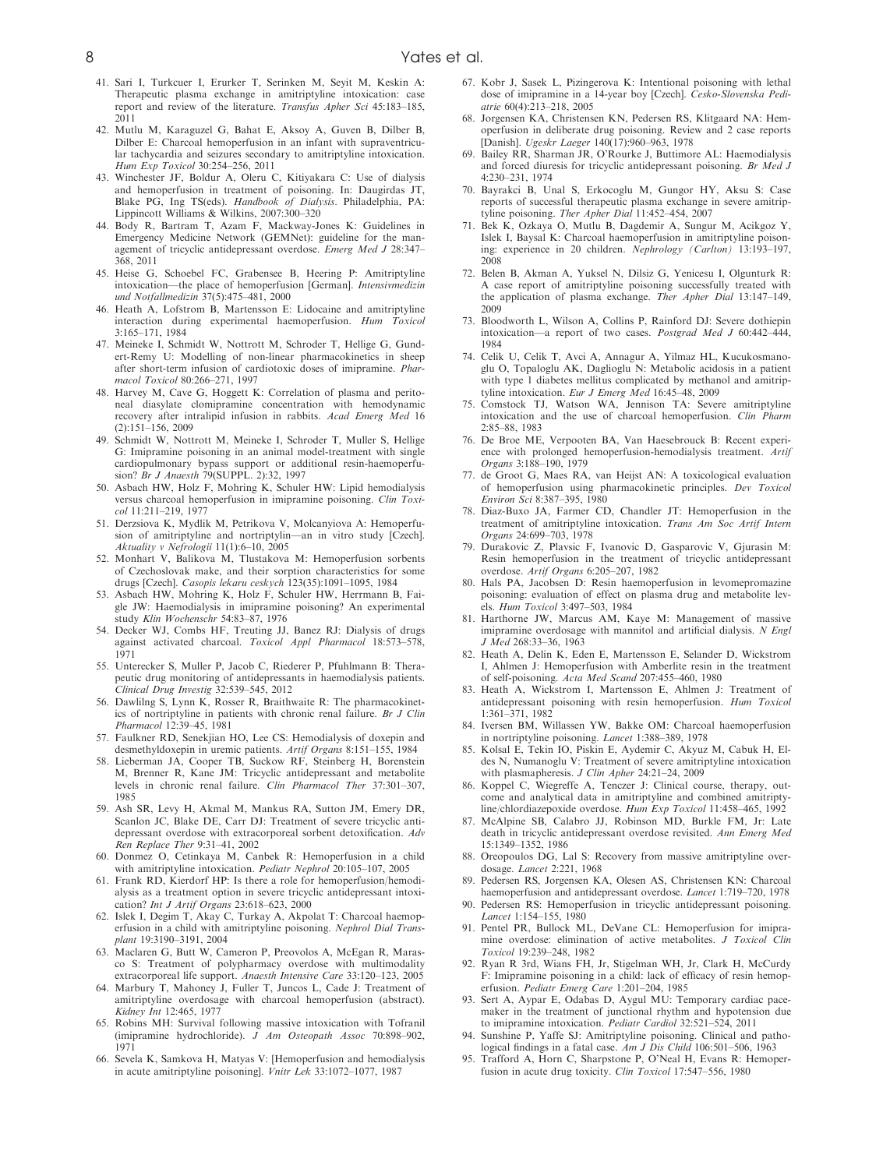- 41. Sari I, Turkcuer I, Erurker T, Serinken M, Seyit M, Keskin A: Therapeutic plasma exchange in amitriptyline intoxication: case report and review of the literature. Transfus Apher Sci 45:183–185, 2011
- 42. Mutlu M, Karaguzel G, Bahat E, Aksoy A, Guven B, Dilber B, Dilber E: Charcoal hemoperfusion in an infant with supraventricular tachycardia and seizures secondary to amitriptyline intoxication. Hum Exp Toxicol 30:254–256, 2011
- 43. Winchester JF, Boldur A, Oleru C, Kitiyakara C: Use of dialysis and hemoperfusion in treatment of poisoning. In: Daugirdas JT, Blake PG, Ing TS(eds). Handbook of Dialysis. Philadelphia, PA: Lippincott Williams & Wilkins, 2007:300–320
- 44. Body R, Bartram T, Azam F, Mackway-Jones K: Guidelines in Emergency Medicine Network (GEMNet): guideline for the management of tricyclic antidepressant overdose. Emerg Med J 28:347– 368, 2011
- 45. Heise G, Schoebel FC, Grabensee B, Heering P: Amitriptyline intoxication—the place of hemoperfusion [German]. Intensivmedizin und Notfallmedizin 37(5):475–481, 2000
- 46. Heath A, Lofstrom B, Martensson E: Lidocaine and amitriptyline interaction during experimental haemoperfusion. Hum Toxicol 3:165–171, 1984
- 47. Meineke I, Schmidt W, Nottrott M, Schroder T, Hellige G, Gundert-Remy U: Modelling of non-linear pharmacokinetics in sheep after short-term infusion of cardiotoxic doses of imipramine. Pharmacol Toxicol 80:266–271, 1997
- 48. Harvey M, Cave G, Hoggett K: Correlation of plasma and peritoneal diasylate clomipramine concentration with hemodynamic recovery after intralipid infusion in rabbits. Acad Emerg Med 16 (2):151–156, 2009
- 49. Schmidt W, Nottrott M, Meineke I, Schroder T, Muller S, Hellige G: Imipramine poisoning in an animal model-treatment with single cardiopulmonary bypass support or additional resin-haemoperfusion? Br J Anaesth 79(SUPPL. 2):32, 1997
- 50. Asbach HW, Holz F, Mohring K, Schuler HW: Lipid hemodialysis versus charcoal hemoperfusion in imipramine poisoning. Clin Toxicol 11:211–219, 1977
- 51. Derzsiova K, Mydlik M, Petrikova V, Molcanyiova A: Hemoperfusion of amitriptyline and nortriptylin—an in vitro study [Czech]. Aktuality v Nefrologii 11(1):6–10, 2005
- 52. Monhart V, Balikova M, Tlustakova M: Hemoperfusion sorbents of Czechoslovak make, and their sorption characteristics for some drugs [Czech]. Casopis lekaru ceskych 123(35):1091–1095, 1984
- 53. Asbach HW, Mohring K, Holz F, Schuler HW, Herrmann B, Faigle JW: Haemodialysis in imipramine poisoning? An experimental study Klin Wochenschr 54:83–87, 1976
- 54. Decker WJ, Combs HF, Treuting JJ, Banez RJ: Dialysis of drugs against activated charcoal. Toxicol Appl Pharmacol 18:573-578, 1971
- 55. Unterecker S, Muller P, Jacob C, Riederer P, Pfuhlmann B: Therapeutic drug monitoring of antidepressants in haemodialysis patients. Clinical Drug Investig 32:539–545, 2012
- 56. Dawlilng S, Lynn K, Rosser R, Braithwaite R: The pharmacokinetics of nortriptyline in patients with chronic renal failure. Br J Clin Pharmacol 12:39–45, 1981
- 57. Faulkner RD, Senekjian HO, Lee CS: Hemodialysis of doxepin and desmethyldoxepin in uremic patients. Artif Organs 8:151–155, 1984
- 58. Lieberman JA, Cooper TB, Suckow RF, Steinberg H, Borenstein M, Brenner R, Kane JM: Tricyclic antidepressant and metabolite levels in chronic renal failure. Clin Pharmacol Ther 37:301–307, 1985
- 59. Ash SR, Levy H, Akmal M, Mankus RA, Sutton JM, Emery DR, Scanlon JC, Blake DE, Carr DJ: Treatment of severe tricyclic antidepressant overdose with extracorporeal sorbent detoxification. Adv Ren Replace Ther 9:31–41, 2002
- 60. Donmez O, Cetinkaya M, Canbek R: Hemoperfusion in a child with amitriptyline intoxication. Pediatr Nephrol 20:105–107, 2005
- 61. Frank RD, Kierdorf HP: Is there a role for hemoperfusion/hemodialysis as a treatment option in severe tricyclic antidepressant intoxication? Int J Artif Organs 23:618–623, 2000
- 62. Islek I, Degim T, Akay C, Turkay A, Akpolat T: Charcoal haemoperfusion in a child with amitriptyline poisoning. Nephrol Dial Transplant 19:3190–3191, 2004
- 63. Maclaren G, Butt W, Cameron P, Preovolos A, McEgan R, Marasco S: Treatment of polypharmacy overdose with multimodality extracorporeal life support. Anaesth Intensive Care 33:120–123, 2005
- 64. Marbury T, Mahoney J, Fuller T, Juncos L, Cade J: Treatment of amitriptyline overdosage with charcoal hemoperfusion (abstract). Kidney Int 12:465, 1977
- 65. Robins MH: Survival following massive intoxication with Tofranil (imipramine hydrochloride). J Am Osteopath Assoc 70:898–902, 1971
- 66. Sevela K, Samkova H, Matyas V: [Hemoperfusion and hemodialysis in acute amitriptyline poisoning]. Vnitr Lek 33:1072–1077, 1987
- 67. Kobr J, Sasek L, Pizingerova K: Intentional poisoning with lethal dose of imipramine in a 14-year boy [Czech]. Cesko-Slovenska Pedi $atrie$  60(4): $213-218$ , 2005
- 68. Jorgensen KA, Christensen KN, Pedersen RS, Klitgaard NA: Hemoperfusion in deliberate drug poisoning. Review and 2 case reports [Danish]. Ugeskr Laeger 140(17):960–963, 1978
- 69. Bailey RR, Sharman JR, O'Rourke J, Buttimore AL: Haemodialysis and forced diuresis for tricyclic antidepressant poisoning. Br Med J 4:230–231, 1974
- 70. Bayrakci B, Unal S, Erkocoglu M, Gungor HY, Aksu S: Case reports of successful therapeutic plasma exchange in severe amitriptyline poisoning. Ther Apher Dial 11:452–454, 2007
- 71. Bek K, Ozkaya O, Mutlu B, Dagdemir A, Sungur M, Acikgoz Y, Islek I, Baysal K: Charcoal haemoperfusion in amitriptyline poisoning: experience in 20 children. Nephrology (Carlton) 13:193–197, 2008
- 72. Belen B, Akman A, Yuksel N, Dilsiz G, Yenicesu I, Olgunturk R: A case report of amitriptyline poisoning successfully treated with the application of plasma exchange. Ther Apher Dial 13:147–149, 2009
- 73. Bloodworth L, Wilson A, Collins P, Rainford DJ: Severe dothiepin intoxication—a report of two cases. Postgrad Med J 60:442–444, 1984
- 74. Celik U, Celik T, Avci A, Annagur A, Yilmaz HL, Kucukosmanoglu O, Topaloglu AK, Daglioglu N: Metabolic acidosis in a patient with type 1 diabetes mellitus complicated by methanol and amitriptyline intoxication. Eur J Emerg Med 16:45–48, 2009
- 75. Comstock TJ, Watson WA, Jennison TA: Severe amitriptyline intoxication and the use of charcoal hemoperfusion. Clin Pharm 2:85–88, 1983
- 76. De Broe ME, Verpooten BA, Van Haesebrouck B: Recent experience with prolonged hemoperfusion-hemodialysis treatment. Artif Organs 3:188–190, 1979
- 77. de Groot G, Maes RA, van Heijst AN: A toxicological evaluation of hemoperfusion using pharmacokinetic principles. Dev Toxicol Environ Sci 8:387–395, 1980
- 78. Diaz-Buxo JA, Farmer CD, Chandler JT: Hemoperfusion in the treatment of amitriptyline intoxication. Trans Am Soc Artif Intern Organs 24:699–703, 1978
- 79. Durakovic Z, Plavsic F, Ivanovic D, Gasparovic V, Gjurasin M: Resin hemoperfusion in the treatment of tricyclic antidepressant overdose. Artif Organs 6:205–207, 1982
- 80. Hals PA, Jacobsen D: Resin haemoperfusion in levomepromazine poisoning: evaluation of effect on plasma drug and metabolite levels. Hum Toxicol 3:497–503, 1984
- 81. Harthorne JW, Marcus AM, Kaye M: Management of massive imipramine overdosage with mannitol and artificial dialysis. N Engl J Med 268:33–36, 1963
- 82. Heath A, Delin K, Eden E, Martensson E, Selander D, Wickstrom I, Ahlmen J: Hemoperfusion with Amberlite resin in the treatment of self-poisoning. Acta Med Scand 207:455–460, 1980
- 83. Heath A, Wickstrom I, Martensson E, Ahlmen J: Treatment of antidepressant poisoning with resin hemoperfusion. Hum Toxicol 1:361–371, 1982
- 84. Iversen BM, Willassen YW, Bakke OM: Charcoal haemoperfusion in nortriptyline poisoning. Lancet 1:388–389, 1978
- 85. Kolsal E, Tekin IO, Piskin E, Aydemir C, Akyuz M, Cabuk H, Eldes N, Numanoglu V: Treatment of severe amitriptyline intoxication with plasmapheresis. J Clin Apher 24:21-24, 2009
- 86. Koppel C, Wiegreffe A, Tenczer J: Clinical course, therapy, outcome and analytical data in amitriptyline and combined amitriptyline/chlordiazepoxide overdose. Hum Exp Toxicol 11:458–465, 1992
- 87. McAlpine SB, Calabro JJ, Robinson MD, Burkle FM, Jr: Late death in tricyclic antidepressant overdose revisited. Ann Emerg Med 15:1349–1352, 1986
- 88. Oreopoulos DG, Lal S: Recovery from massive amitriptyline overdosage. Lancet 2:221, 1968
- 89. Pedersen RS, Jorgensen KA, Olesen AS, Christensen KN: Charcoal haemoperfusion and antidepressant overdose. Lancet 1:719–720, 1978
- 90. Pedersen RS: Hemoperfusion in tricyclic antidepressant poisoning. Lancet 1:154–155, 1980
- 91. Pentel PR, Bullock ML, DeVane CL: Hemoperfusion for imipramine overdose: elimination of active metabolites. J Toxicol Clin Toxicol 19:239–248, 1982
- 92. Ryan R 3rd, Wians FH, Jr, Stigelman WH, Jr, Clark H, McCurdy F: Imipramine poisoning in a child: lack of efficacy of resin hemoperfusion. Pediatr Emerg Care 1:201–204, 1985
- 93. Sert A, Aypar E, Odabas D, Aygul MU: Temporary cardiac pacemaker in the treatment of junctional rhythm and hypotension due to imipramine intoxication. Pediatr Cardiol 32:521–524, 2011
- 94. Sunshine P, Yaffe SJ: Amitriptyline poisoning. Clinical and pathological findings in a fatal case. Am J Dis Child 106:501–506, 1963
- 95. Trafford A, Horn C, Sharpstone P, O'Neal H, Evans R: Hemoperfusion in acute drug toxicity. Clin Toxicol 17:547–556, 1980